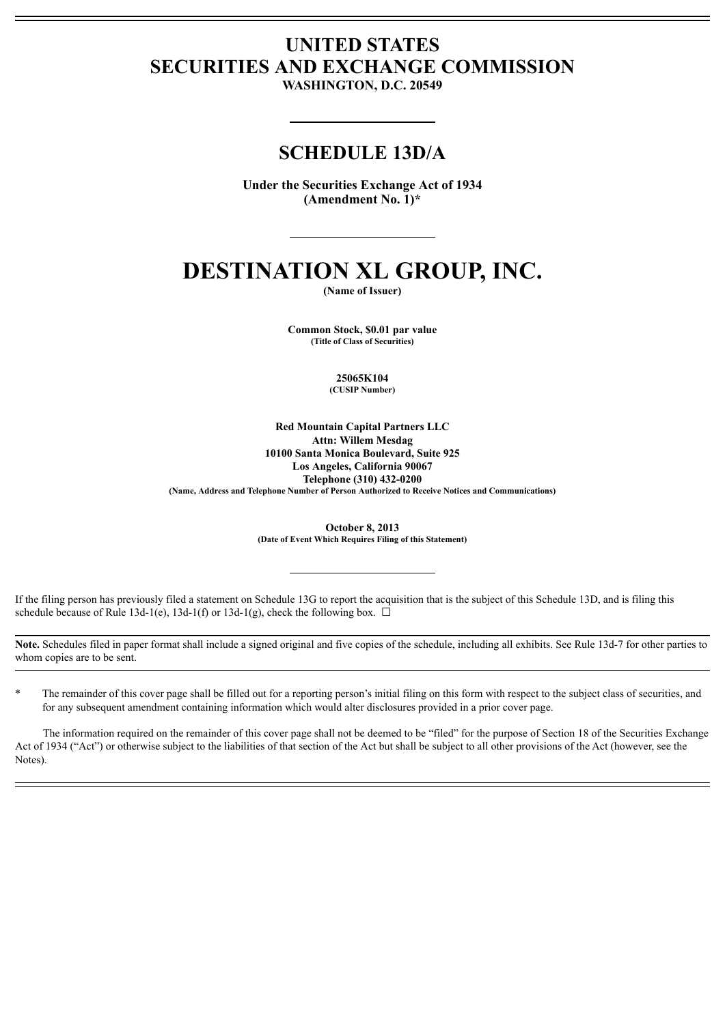# **UNITED STATES SECURITIES AND EXCHANGE COMMISSION**

**WASHINGTON, D.C. 20549**

## **SCHEDULE 13D/A**

**Under the Securities Exchange Act of 1934 (Amendment No. 1)\***

# **DESTINATION XL GROUP, INC.**

**(Name of Issuer)**

**Common Stock, \$0.01 par value (Title of Class of Securities)**

> **25065K104 (CUSIP Number)**

**Red Mountain Capital Partners LLC Attn: Willem Mesdag 10100 Santa Monica Boulevard, Suite 925 Los Angeles, California 90067 Telephone (310) 432-0200 (Name, Address and Telephone Number of Person Authorized to Receive Notices and Communications)**

> **October 8, 2013 (Date of Event Which Requires Filing of this Statement)**

If the filing person has previously filed a statement on Schedule 13G to report the acquisition that is the subject of this Schedule 13D, and is filing this schedule because of Rule 13d-1(e), 13d-1(f) or 13d-1(g), check the following box.  $\Box$ 

**Note.** Schedules filed in paper format shall include a signed original and five copies of the schedule, including all exhibits. See Rule 13d-7 for other parties to whom copies are to be sent.

The remainder of this cover page shall be filled out for a reporting person's initial filing on this form with respect to the subject class of securities, and for any subsequent amendment containing information which would alter disclosures provided in a prior cover page.

The information required on the remainder of this cover page shall not be deemed to be "filed" for the purpose of Section 18 of the Securities Exchange Act of 1934 ("Act") or otherwise subject to the liabilities of that section of the Act but shall be subject to all other provisions of the Act (however, see the Notes).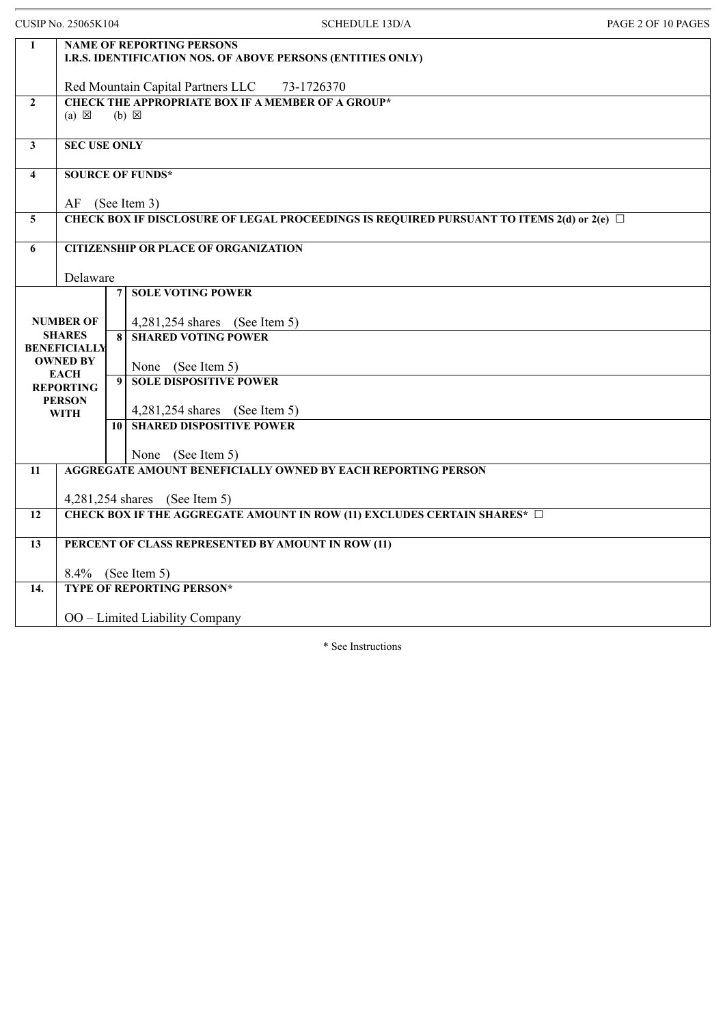|                         | <b>CUSIP No. 25065K104</b>                                                                      | <b>SCHEDULE 13D/A</b>                                                       | PAGE 2 OF 10 PAGES |  |  |
|-------------------------|-------------------------------------------------------------------------------------------------|-----------------------------------------------------------------------------|--------------------|--|--|
| $\mathbf{1}$            | <b>NAME OF REPORTING PERSONS</b><br>I.R.S. IDENTIFICATION NOS. OF ABOVE PERSONS (ENTITIES ONLY) |                                                                             |                    |  |  |
|                         |                                                                                                 | Red Mountain Capital Partners LLC<br>73-1726370                             |                    |  |  |
| $\overline{2}$          | $(a) \boxtimes$                                                                                 | <b>CHECK THE APPROPRIATE BOX IF A MEMBER OF A GROUP*</b><br>$(b) \boxtimes$ |                    |  |  |
| $\overline{\mathbf{3}}$ | <b>SEC USE ONLY</b>                                                                             |                                                                             |                    |  |  |
| $\overline{\mathbf{4}}$ | <b>SOURCE OF FUNDS*</b>                                                                         |                                                                             |                    |  |  |
|                         |                                                                                                 | AF (See Item 3)                                                             |                    |  |  |
| 5                       | CHECK BOX IF DISCLOSURE OF LEGAL PROCEEDINGS IS REQUIRED PURSUANT TO ITEMS 2(d) or 2(e) □       |                                                                             |                    |  |  |
| 6                       |                                                                                                 | <b>CITIZENSHIP OR PLACE OF ORGANIZATION</b>                                 |                    |  |  |
|                         | Delaware                                                                                        |                                                                             |                    |  |  |
|                         |                                                                                                 | <b>SOLE VOTING POWER</b><br>$\overline{7}$                                  |                    |  |  |
|                         | <b>NUMBER OF</b>                                                                                | 4,281,254 shares (See Item 5)                                               |                    |  |  |
|                         | <b>SHARES</b><br><b>BENEFICIALLY</b>                                                            | <b>SHARED VOTING POWER</b><br>8                                             |                    |  |  |
|                         | <b>OWNED BY</b>                                                                                 | None (See Item 5)                                                           |                    |  |  |
|                         | <b>EACH</b><br><b>REPORTING</b>                                                                 | <b>SOLE DISPOSITIVE POWER</b><br>$\boldsymbol{9}$                           |                    |  |  |
|                         | <b>PERSON</b>                                                                                   | 4,281,254 shares (See Item 5)                                               |                    |  |  |
|                         | <b>WITH</b>                                                                                     | <b>SHARED DISPOSITIVE POWER</b><br>10 <sup>1</sup>                          |                    |  |  |
|                         |                                                                                                 | None (See Item 5)                                                           |                    |  |  |
| 11                      |                                                                                                 | AGGREGATE AMOUNT BENEFICIALLY OWNED BY EACH REPORTING PERSON                |                    |  |  |
|                         |                                                                                                 | 4,281,254 shares (See Item 5)                                               |                    |  |  |
| 12                      |                                                                                                 | CHECK BOX IF THE AGGREGATE AMOUNT IN ROW (11) EXCLUDES CERTAIN SHARES* □    |                    |  |  |
|                         |                                                                                                 |                                                                             |                    |  |  |
| 13                      |                                                                                                 | PERCENT OF CLASS REPRESENTED BY AMOUNT IN ROW (11)                          |                    |  |  |
|                         | 8.4% (See Item 5)                                                                               |                                                                             |                    |  |  |
| 14.                     |                                                                                                 | <b>TYPE OF REPORTING PERSON*</b>                                            |                    |  |  |
|                         |                                                                                                 | OO - Limited Liability Company                                              |                    |  |  |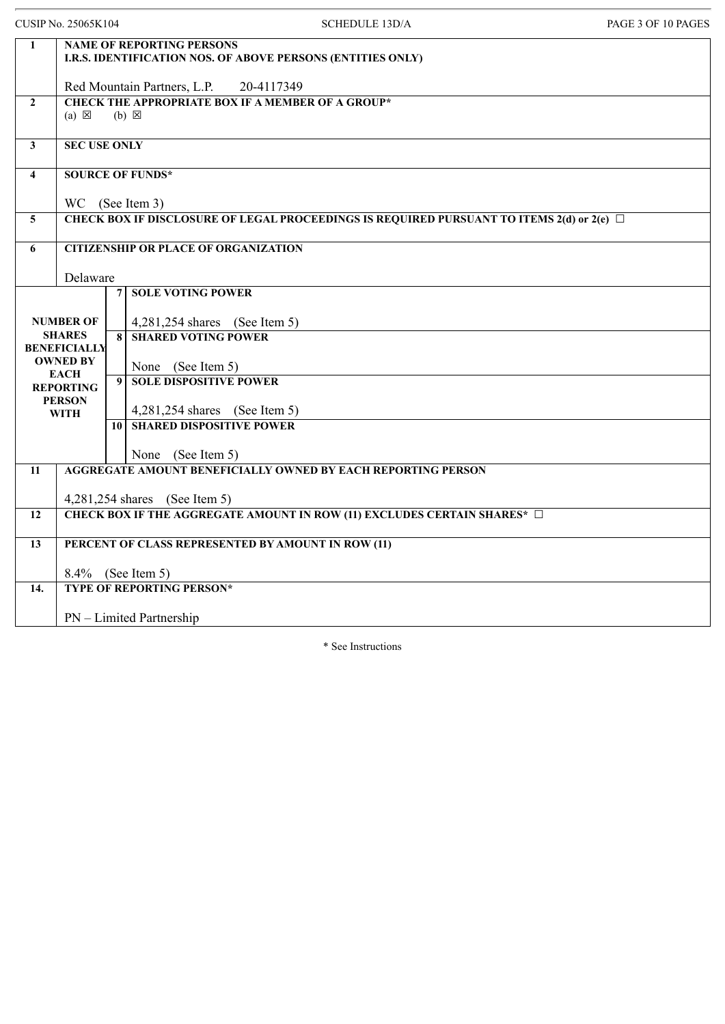|                 | <b>CUSIP No. 25065K104</b>                                                                      |                 | <b>SCHEDULE 13D/A</b>                                                                                 | PAGE 3 OF 10 PAGES |
|-----------------|-------------------------------------------------------------------------------------------------|-----------------|-------------------------------------------------------------------------------------------------------|--------------------|
| $\mathbf{1}$    | <b>NAME OF REPORTING PERSONS</b><br>I.R.S. IDENTIFICATION NOS. OF ABOVE PERSONS (ENTITIES ONLY) |                 |                                                                                                       |                    |
|                 |                                                                                                 |                 |                                                                                                       |                    |
| $\overline{2}$  |                                                                                                 |                 | Red Mountain Partners, L.P.<br>20-4117349<br><b>CHECK THE APPROPRIATE BOX IF A MEMBER OF A GROUP*</b> |                    |
|                 | $(a) \boxtimes$                                                                                 |                 | $(b) \boxtimes$                                                                                       |                    |
| $\mathbf{3}$    | <b>SEC USE ONLY</b>                                                                             |                 |                                                                                                       |                    |
| $\overline{4}$  | <b>SOURCE OF FUNDS*</b>                                                                         |                 |                                                                                                       |                    |
|                 | WC (See Item 3)                                                                                 |                 |                                                                                                       |                    |
| $5\overline{)}$ |                                                                                                 |                 | CHECK BOX IF DISCLOSURE OF LEGAL PROCEEDINGS IS REQUIRED PURSUANT TO ITEMS $2(d)$ or $2(e)$           |                    |
| 6               |                                                                                                 |                 | <b>CITIZENSHIP OR PLACE OF ORGANIZATION</b>                                                           |                    |
|                 | Delaware                                                                                        |                 |                                                                                                       |                    |
|                 |                                                                                                 | $\overline{7}$  | <b>SOLE VOTING POWER</b>                                                                              |                    |
|                 | <b>NUMBER OF</b>                                                                                |                 | 4,281,254 shares (See Item 5)                                                                         |                    |
|                 | <b>SHARES</b><br><b>BENEFICIALLY</b>                                                            | 8               | <b>SHARED VOTING POWER</b>                                                                            |                    |
|                 | <b>OWNED BY</b>                                                                                 |                 | None (See Item 5)                                                                                     |                    |
|                 | <b>EACH</b><br><b>REPORTING</b>                                                                 | $\mathbf{Q}$    | <b>SOLE DISPOSITIVE POWER</b>                                                                         |                    |
|                 | <b>PERSON</b><br><b>WITH</b>                                                                    |                 | 4,281,254 shares (See Item 5)                                                                         |                    |
|                 |                                                                                                 | 10 <sup>1</sup> | <b>SHARED DISPOSITIVE POWER</b>                                                                       |                    |
|                 |                                                                                                 |                 | None (See Item 5)                                                                                     |                    |
| 11              |                                                                                                 |                 | <b>AGGREGATE AMOUNT BENEFICIALLY OWNED BY EACH REPORTING PERSON</b>                                   |                    |
|                 |                                                                                                 |                 | 4,281,254 shares (See Item 5)                                                                         |                    |
| 12              |                                                                                                 |                 | CHECK BOX IF THE AGGREGATE AMOUNT IN ROW (11) EXCLUDES CERTAIN SHARES* $\Box$                         |                    |
| 13              |                                                                                                 |                 | PERCENT OF CLASS REPRESENTED BY AMOUNT IN ROW (11)                                                    |                    |
|                 |                                                                                                 |                 |                                                                                                       |                    |
| 14.             | 8.4% (See Item 5)                                                                               |                 | <b>TYPE OF REPORTING PERSON*</b>                                                                      |                    |
|                 |                                                                                                 |                 |                                                                                                       |                    |
|                 |                                                                                                 |                 | PN – Limited Partnership                                                                              |                    |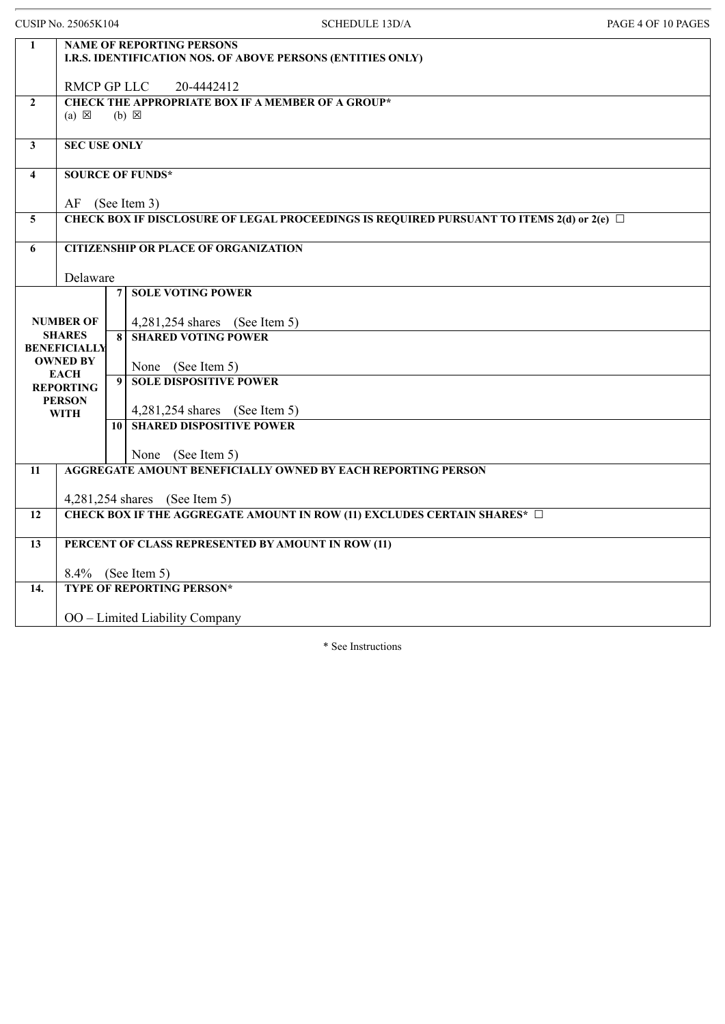|                         | <b>CUSIP No. 25065K104</b>                                                                                     |                         | <b>SCHEDULE 13D/A</b>                                                                           | PAGE 4 OF 10 PAGES |  |
|-------------------------|----------------------------------------------------------------------------------------------------------------|-------------------------|-------------------------------------------------------------------------------------------------|--------------------|--|
| $\mathbf{1}$            |                                                                                                                |                         | <b>NAME OF REPORTING PERSONS</b><br>I.R.S. IDENTIFICATION NOS. OF ABOVE PERSONS (ENTITIES ONLY) |                    |  |
|                         | RMCP GP LLC                                                                                                    |                         | 20-4442412                                                                                      |                    |  |
| $\mathbf{2}$            | $(a) \boxtimes$                                                                                                |                         | <b>CHECK THE APPROPRIATE BOX IF A MEMBER OF A GROUP*</b><br>$(b) \boxtimes$                     |                    |  |
| $\overline{\mathbf{3}}$ | <b>SEC USE ONLY</b>                                                                                            |                         |                                                                                                 |                    |  |
| $\overline{4}$          | <b>SOURCE OF FUNDS*</b>                                                                                        |                         |                                                                                                 |                    |  |
| $\overline{5}$          | AF (See Item 3)<br>CHECK BOX IF DISCLOSURE OF LEGAL PROCEEDINGS IS REQUIRED PURSUANT TO ITEMS $2(d)$ or $2(e)$ |                         |                                                                                                 |                    |  |
| 6                       | <b>CITIZENSHIP OR PLACE OF ORGANIZATION</b>                                                                    |                         |                                                                                                 |                    |  |
|                         | Delaware                                                                                                       |                         |                                                                                                 |                    |  |
|                         |                                                                                                                | 7 <sup>1</sup>          | <b>SOLE VOTING POWER</b>                                                                        |                    |  |
|                         | <b>NUMBER OF</b>                                                                                               |                         | 4,281,254 shares (See Item 5)                                                                   |                    |  |
|                         | <b>SHARES</b><br><b>BENEFICIALLY</b>                                                                           | $\overline{\mathbf{8}}$ | <b>SHARED VOTING POWER</b>                                                                      |                    |  |
|                         | <b>OWNED BY</b>                                                                                                |                         | None (See Item 5)                                                                               |                    |  |
|                         | <b>EACH</b><br><b>REPORTING</b>                                                                                | $\boldsymbol{9}$        | <b>SOLE DISPOSITIVE POWER</b>                                                                   |                    |  |
|                         | <b>PERSON</b><br><b>WITH</b>                                                                                   |                         | 4,281,254 shares (See Item 5)                                                                   |                    |  |
|                         |                                                                                                                | 10 <sup>1</sup>         | <b>SHARED DISPOSITIVE POWER</b>                                                                 |                    |  |
|                         |                                                                                                                |                         | None (See Item 5)                                                                               |                    |  |
| 11                      |                                                                                                                |                         | AGGREGATE AMOUNT BENEFICIALLY OWNED BY EACH REPORTING PERSON                                    |                    |  |
|                         |                                                                                                                |                         | 4,281,254 shares (See Item 5)                                                                   |                    |  |
| 12                      |                                                                                                                |                         | CHECK BOX IF THE AGGREGATE AMOUNT IN ROW (11) EXCLUDES CERTAIN SHARES* □                        |                    |  |
| 13                      | PERCENT OF CLASS REPRESENTED BY AMOUNT IN ROW (11)                                                             |                         |                                                                                                 |                    |  |
|                         |                                                                                                                |                         | 8.4% (See Item 5)                                                                               |                    |  |
| 14.                     |                                                                                                                |                         | <b>TYPE OF REPORTING PERSON*</b>                                                                |                    |  |
|                         |                                                                                                                |                         | OO - Limited Liability Company                                                                  |                    |  |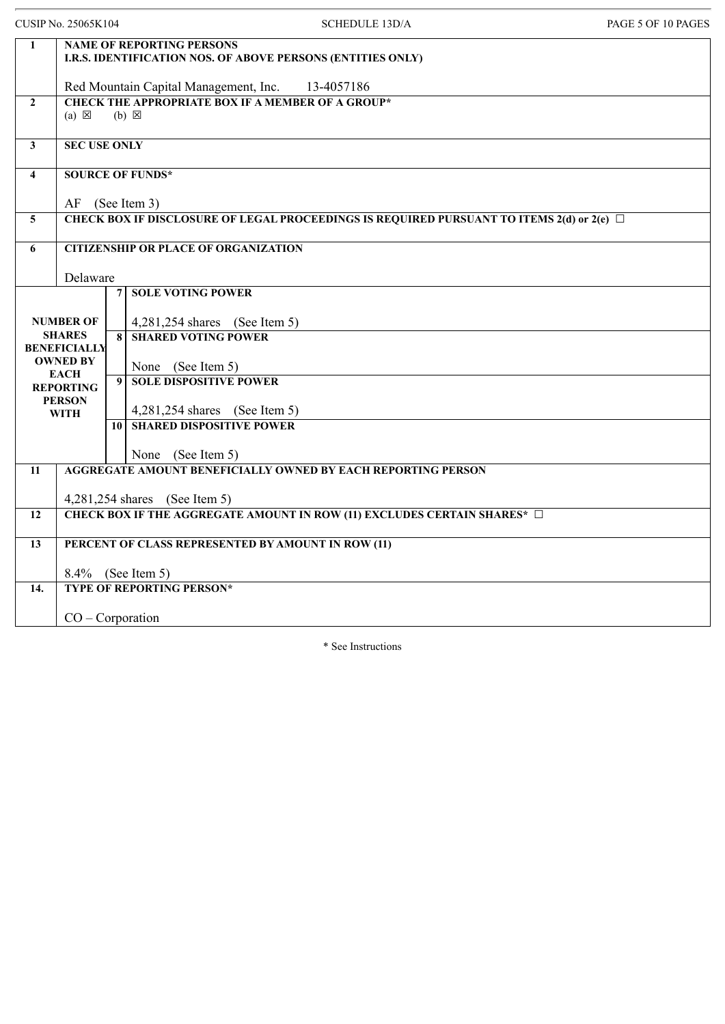|                                                                                                                 |                            | <b>SCHEDULE 13D/A</b>                                                                               | PAGE 5 OF 10 PAGES                                                                                                                                                                                                                                                                                                                                                                                                                                                                                                                                                                                                                                                               |  |
|-----------------------------------------------------------------------------------------------------------------|----------------------------|-----------------------------------------------------------------------------------------------------|----------------------------------------------------------------------------------------------------------------------------------------------------------------------------------------------------------------------------------------------------------------------------------------------------------------------------------------------------------------------------------------------------------------------------------------------------------------------------------------------------------------------------------------------------------------------------------------------------------------------------------------------------------------------------------|--|
| <b>NAME OF REPORTING PERSONS</b><br>$\mathbf{1}$<br>I.R.S. IDENTIFICATION NOS. OF ABOVE PERSONS (ENTITIES ONLY) |                            |                                                                                                     |                                                                                                                                                                                                                                                                                                                                                                                                                                                                                                                                                                                                                                                                                  |  |
|                                                                                                                 |                            | 13-4057186                                                                                          |                                                                                                                                                                                                                                                                                                                                                                                                                                                                                                                                                                                                                                                                                  |  |
| $(a) \boxtimes$                                                                                                 |                            |                                                                                                     |                                                                                                                                                                                                                                                                                                                                                                                                                                                                                                                                                                                                                                                                                  |  |
|                                                                                                                 |                            |                                                                                                     |                                                                                                                                                                                                                                                                                                                                                                                                                                                                                                                                                                                                                                                                                  |  |
|                                                                                                                 |                            |                                                                                                     |                                                                                                                                                                                                                                                                                                                                                                                                                                                                                                                                                                                                                                                                                  |  |
|                                                                                                                 |                            |                                                                                                     |                                                                                                                                                                                                                                                                                                                                                                                                                                                                                                                                                                                                                                                                                  |  |
|                                                                                                                 |                            |                                                                                                     |                                                                                                                                                                                                                                                                                                                                                                                                                                                                                                                                                                                                                                                                                  |  |
|                                                                                                                 |                            |                                                                                                     |                                                                                                                                                                                                                                                                                                                                                                                                                                                                                                                                                                                                                                                                                  |  |
|                                                                                                                 |                            |                                                                                                     |                                                                                                                                                                                                                                                                                                                                                                                                                                                                                                                                                                                                                                                                                  |  |
|                                                                                                                 |                            | <b>SOLE VOTING POWER</b>                                                                            |                                                                                                                                                                                                                                                                                                                                                                                                                                                                                                                                                                                                                                                                                  |  |
| <b>NUMBER OF</b>                                                                                                |                            | 4,281,254 shares (See Item 5)                                                                       |                                                                                                                                                                                                                                                                                                                                                                                                                                                                                                                                                                                                                                                                                  |  |
| <b>SHARES</b>                                                                                                   |                            |                                                                                                     |                                                                                                                                                                                                                                                                                                                                                                                                                                                                                                                                                                                                                                                                                  |  |
| <b>OWNED BY</b>                                                                                                 |                            | None (See Item 5)                                                                                   |                                                                                                                                                                                                                                                                                                                                                                                                                                                                                                                                                                                                                                                                                  |  |
| <b>REPORTING</b>                                                                                                |                            | <b>SOLE DISPOSITIVE POWER</b>                                                                       |                                                                                                                                                                                                                                                                                                                                                                                                                                                                                                                                                                                                                                                                                  |  |
| <b>PERSON</b>                                                                                                   |                            | 4,281,254 shares (See Item 5)                                                                       |                                                                                                                                                                                                                                                                                                                                                                                                                                                                                                                                                                                                                                                                                  |  |
|                                                                                                                 |                            |                                                                                                     |                                                                                                                                                                                                                                                                                                                                                                                                                                                                                                                                                                                                                                                                                  |  |
|                                                                                                                 |                            | None (See Item 5)                                                                                   |                                                                                                                                                                                                                                                                                                                                                                                                                                                                                                                                                                                                                                                                                  |  |
|                                                                                                                 |                            |                                                                                                     |                                                                                                                                                                                                                                                                                                                                                                                                                                                                                                                                                                                                                                                                                  |  |
|                                                                                                                 |                            |                                                                                                     |                                                                                                                                                                                                                                                                                                                                                                                                                                                                                                                                                                                                                                                                                  |  |
|                                                                                                                 |                            |                                                                                                     |                                                                                                                                                                                                                                                                                                                                                                                                                                                                                                                                                                                                                                                                                  |  |
| PERCENT OF CLASS REPRESENTED BY AMOUNT IN ROW (11)                                                              |                            |                                                                                                     |                                                                                                                                                                                                                                                                                                                                                                                                                                                                                                                                                                                                                                                                                  |  |
|                                                                                                                 |                            |                                                                                                     |                                                                                                                                                                                                                                                                                                                                                                                                                                                                                                                                                                                                                                                                                  |  |
|                                                                                                                 |                            |                                                                                                     |                                                                                                                                                                                                                                                                                                                                                                                                                                                                                                                                                                                                                                                                                  |  |
|                                                                                                                 |                            |                                                                                                     |                                                                                                                                                                                                                                                                                                                                                                                                                                                                                                                                                                                                                                                                                  |  |
|                                                                                                                 | <b>EACH</b><br><b>WITH</b> | <b>CUSIP No. 25065K104</b><br>Delaware<br>$\overline{7}$<br><b>BENEFICIALLY</b><br>$\boldsymbol{9}$ | Red Mountain Capital Management, Inc.<br><b>CHECK THE APPROPRIATE BOX IF A MEMBER OF A GROUP*</b><br>$(b) \times$<br><b>SEC USE ONLY</b><br><b>SOURCE OF FUNDS*</b><br>AF (See Item 3)<br>CHECK BOX IF DISCLOSURE OF LEGAL PROCEEDINGS IS REQUIRED PURSUANT TO ITEMS $2(d)$ or $2(e)$<br><b>CITIZENSHIP OR PLACE OF ORGANIZATION</b><br><b>SHARED VOTING POWER</b><br>$\bf{8}$<br><b>10 SHARED DISPOSITIVE POWER</b><br>AGGREGATE AMOUNT BENEFICIALLY OWNED BY EACH REPORTING PERSON<br>4,281,254 shares (See Item 5)<br>CHECK BOX IF THE AGGREGATE AMOUNT IN ROW (11) EXCLUDES CERTAIN SHARES* □<br>8.4% (See Item 5)<br><b>TYPE OF REPORTING PERSON*</b><br>$CO - Corporation$ |  |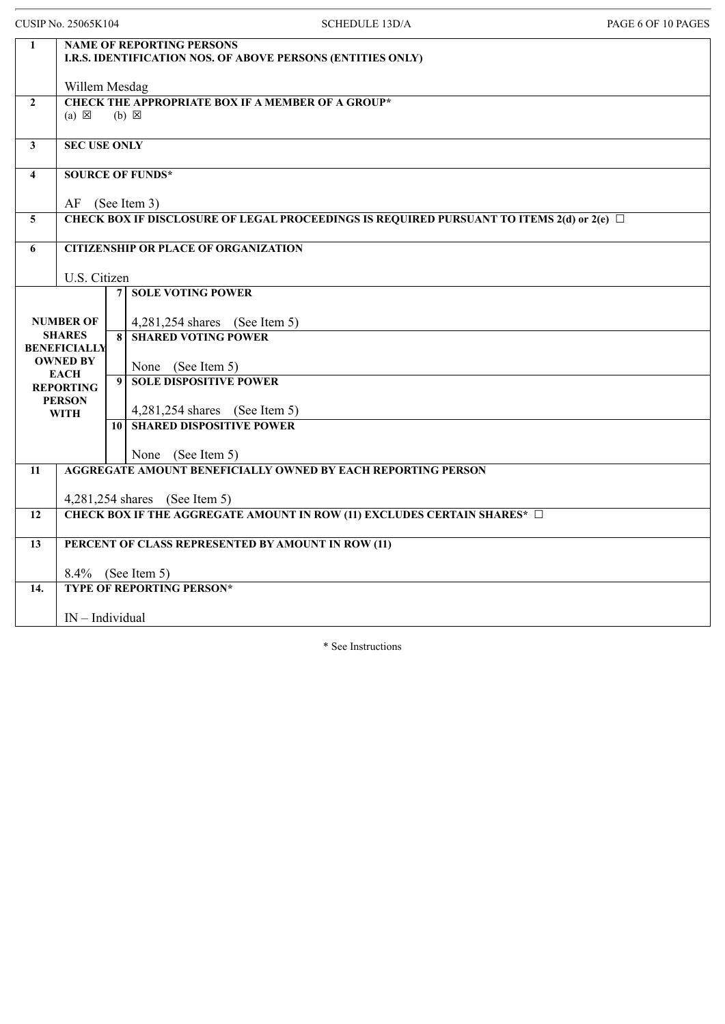CUSIP No. 25065K104 SCHEDULE 13D/A PAGE 6 OF 10 PAGES **1 NAME OF REPORTING PERSONS I.R.S. IDENTIFICATION NOS. OF ABOVE PERSONS (ENTITIES ONLY)** Willem Mesdag **2 CHECK THE APPROPRIATE BOX IF A MEMBER OF A GROUP\*** (a)  $\boxtimes$  (b)  $\boxtimes$ **3 SEC USE ONLY 4 SOURCE OF FUNDS\*** AF (See Item 3) **5 CHECK BOX IF DISCLOSURE OF LEGAL PROCEEDINGS IS REQUIRED PURSUANT TO ITEMS 2(d) or 2(e)** ☐ **6 CITIZENSHIP OR PLACE OF ORGANIZATION** U.S. Citizen **NUMBER OF SHARES BENEFICIALLY OWNED BY EACH REPORTING PERSON WITH 7 SOLE VOTING POWER** 4,281,254 shares (See Item 5) **8 SHARED VOTING POWER** None (See Item 5) **9 SOLE DISPOSITIVE POWER** 4,281,254 shares (See Item 5) **10 SHARED DISPOSITIVE POWER** None (See Item 5) **11 AGGREGATE AMOUNT BENEFICIALLY OWNED BY EACH REPORTING PERSON** 4,281,254 shares (See Item 5) **12 CHECK BOX IF THE AGGREGATE AMOUNT IN ROW (11) EXCLUDES CERTAIN SHARES\*** ☐ **13 PERCENT OF CLASS REPRESENTED BY AMOUNT IN ROW (11)** 8.4% (See Item 5) **14. TYPE OF REPORTING PERSON\*** IN – Individual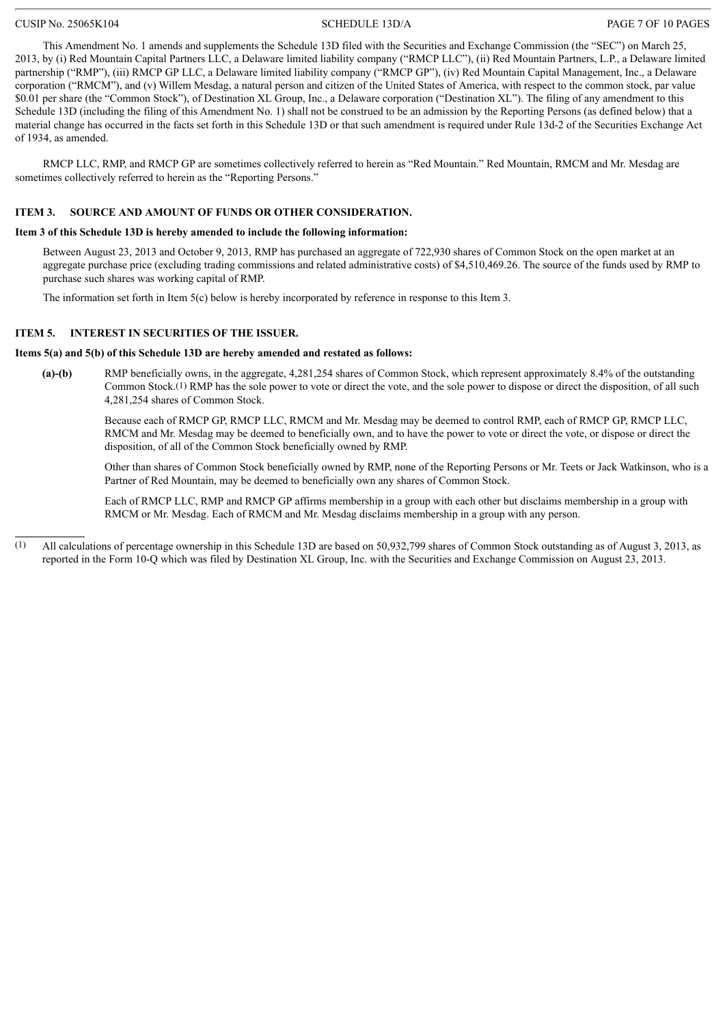### CUSIP No. 25065K104 SCHEDULE 13D/A PAGE 7 OF 10 PAGES

This Amendment No. 1 amends and supplements the Schedule 13D filed with the Securities and Exchange Commission (the "SEC") on March 25, 2013, by (i) Red Mountain Capital Partners LLC, a Delaware limited liability company ("RMCP LLC"), (ii) Red Mountain Partners, L.P., a Delaware limited partnership ("RMP"), (iii) RMCP GP LLC, a Delaware limited liability company ("RMCP GP"), (iv) Red Mountain Capital Management, Inc., a Delaware corporation ("RMCM"), and (v) Willem Mesdag, a natural person and citizen of the United States of America, with respect to the common stock, par value \$0.01 per share (the "Common Stock"), of Destination XL Group, Inc., a Delaware corporation ("Destination XL"). The filing of any amendment to this Schedule 13D (including the filing of this Amendment No. 1) shall not be construed to be an admission by the Reporting Persons (as defined below) that a material change has occurred in the facts set forth in this Schedule 13D or that such amendment is required under Rule 13d-2 of the Securities Exchange Act of 1934, as amended.

RMCP LLC, RMP, and RMCP GP are sometimes collectively referred to herein as "Red Mountain." Red Mountain, RMCM and Mr. Mesdag are sometimes collectively referred to herein as the "Reporting Persons."

### **ITEM 3. SOURCE AND AMOUNT OF FUNDS OR OTHER CONSIDERATION.**

### **Item 3 of this Schedule 13D is hereby amended to include the following information:**

Between August 23, 2013 and October 9, 2013, RMP has purchased an aggregate of 722,930 shares of Common Stock on the open market at an aggregate purchase price (excluding trading commissions and related administrative costs) of \$4,510,469.26. The source of the funds used by RMP to purchase such shares was working capital of RMP.

The information set forth in Item 5(c) below is hereby incorporated by reference in response to this Item 3.

### **ITEM 5. INTEREST IN SECURITIES OF THE ISSUER.**

### **Items 5(a) and 5(b) of this Schedule 13D are hereby amended and restated as follows:**

**(a)-(b)** RMP beneficially owns, in the aggregate, 4,281,254 shares of Common Stock, which represent approximately 8.4% of the outstanding Common Stock.(1) RMP has the sole power to vote or direct the vote, and the sole power to dispose or direct the disposition, of all such 4,281,254 shares of Common Stock.

Because each of RMCP GP, RMCP LLC, RMCM and Mr. Mesdag may be deemed to control RMP, each of RMCP GP, RMCP LLC, RMCM and Mr. Mesdag may be deemed to beneficially own, and to have the power to vote or direct the vote, or dispose or direct the disposition, of all of the Common Stock beneficially owned by RMP.

Other than shares of Common Stock beneficially owned by RMP, none of the Reporting Persons or Mr. Teets or Jack Watkinson, who is a Partner of Red Mountain, may be deemed to beneficially own any shares of Common Stock.

Each of RMCP LLC, RMP and RMCP GP affirms membership in a group with each other but disclaims membership in a group with RMCM or Mr. Mesdag. Each of RMCM and Mr. Mesdag disclaims membership in a group with any person.

(1) All calculations of percentage ownership in this Schedule 13D are based on 50,932,799 shares of Common Stock outstanding as of August 3, 2013, as reported in the Form 10-Q which was filed by Destination XL Group, Inc. with the Securities and Exchange Commission on August 23, 2013.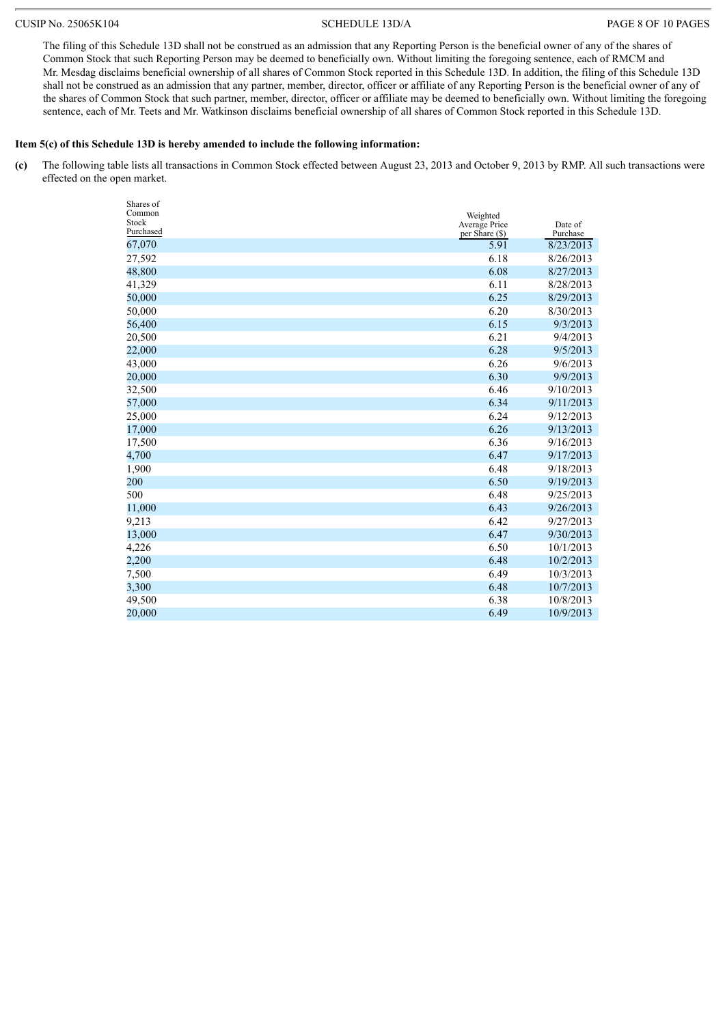### CUSIP No. 25065K104 SCHEDULE 13D/A PAGE 8 OF 10 PAGES

The filing of this Schedule 13D shall not be construed as an admission that any Reporting Person is the beneficial owner of any of the shares of Common Stock that such Reporting Person may be deemed to beneficially own. Without limiting the foregoing sentence, each of RMCM and Mr. Mesdag disclaims beneficial ownership of all shares of Common Stock reported in this Schedule 13D. In addition, the filing of this Schedule 13D shall not be construed as an admission that any partner, member, director, officer or affiliate of any Reporting Person is the beneficial owner of any of the shares of Common Stock that such partner, member, director, officer or affiliate may be deemed to beneficially own. Without limiting the foregoing sentence, each of Mr. Teets and Mr. Watkinson disclaims beneficial ownership of all shares of Common Stock reported in this Schedule 13D.

### **Item 5(c) of this Schedule 13D is hereby amended to include the following information:**

**(c)** The following table lists all transactions in Common Stock effected between August 23, 2013 and October 9, 2013 by RMP. All such transactions were effected on the open market.

| Shares of       |                                 |                     |
|-----------------|---------------------------------|---------------------|
| Common<br>Stock | Weighted                        |                     |
| Purchased       | Average Price<br>per Share (\$) | Date of<br>Purchase |
| 67,070          | 5.91                            | 8/23/2013           |
| 27,592          | 6.18                            | 8/26/2013           |
| 48,800          | 6.08                            | 8/27/2013           |
| 41,329          | 6.11                            | 8/28/2013           |
| 50,000          | 6.25                            | 8/29/2013           |
| 50,000          | 6.20                            | 8/30/2013           |
| 56,400          | 6.15                            | 9/3/2013            |
| 20,500          | 6.21                            | 9/4/2013            |
| 22,000          | 6.28                            | 9/5/2013            |
| 43,000          | 6.26                            | 9/6/2013            |
| 20,000          | 6.30                            | 9/9/2013            |
| 32,500          | 6.46                            | 9/10/2013           |
| 57,000          | 6.34                            | 9/11/2013           |
| 25,000          | 6.24                            | 9/12/2013           |
| 17,000          | 6.26                            | 9/13/2013           |
| 17,500          | 6.36                            | 9/16/2013           |
| 4,700           | 6.47                            | 9/17/2013           |
| 1,900           | 6.48                            | 9/18/2013           |
| 200             | 6.50                            | 9/19/2013           |
| 500             | 6.48                            | 9/25/2013           |
| 11,000          | 6.43                            | 9/26/2013           |
| 9,213           | 6.42                            | 9/27/2013           |
| 13,000          | 6.47                            | 9/30/2013           |
| 4,226           | 6.50                            | 10/1/2013           |
| 2,200           | 6.48                            | 10/2/2013           |
| 7,500           | 6.49                            | 10/3/2013           |
| 3,300           | 6.48                            | 10/7/2013           |
| 49,500          | 6.38                            | 10/8/2013           |
| 20.000          | 6.49                            | 10/9/2013           |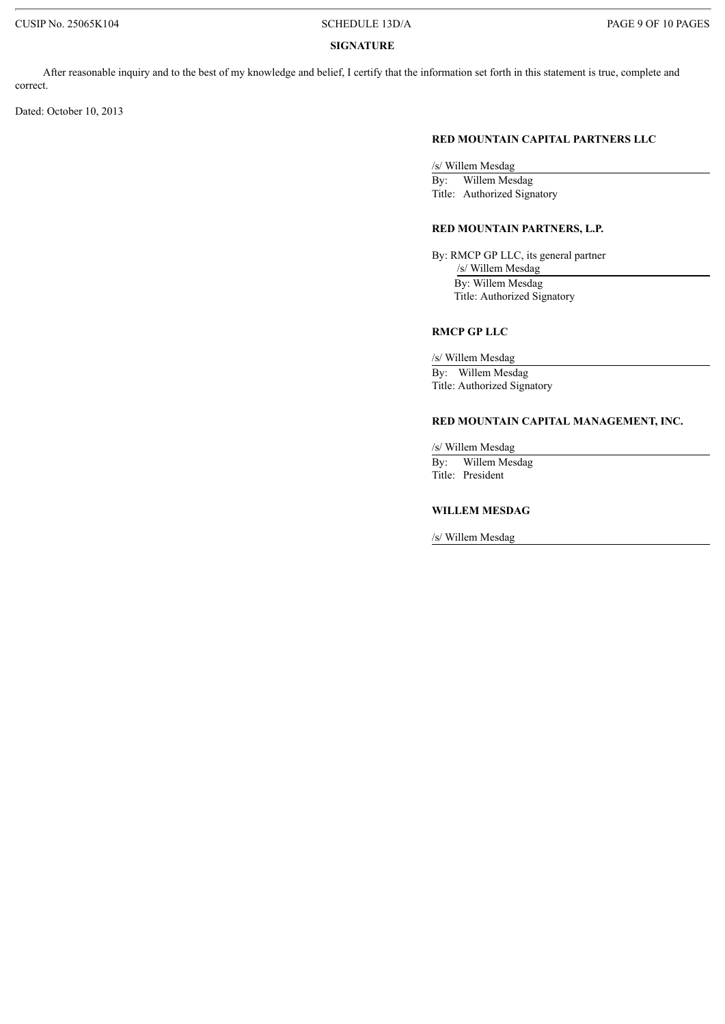### **SIGNATURE**

After reasonable inquiry and to the best of my knowledge and belief, I certify that the information set forth in this statement is true, complete and correct.

Dated: October 10, 2013

### **RED MOUNTAIN CAPITAL PARTNERS LLC**

/s/ Willem Mesdag By: Willem Mesdag Title: Authorized Signatory

### **RED MOUNTAIN PARTNERS, L.P.**

By: RMCP GP LLC, its general partner /s/ Willem Mesdag By: Willem Mesdag Title: Authorized Signatory

### **RMCP GP LLC**

/s/ Willem Mesdag By: Willem Mesdag Title: Authorized Signatory

### **RED MOUNTAIN CAPITAL MANAGEMENT, INC.**

/s/ Willem Mesdag

By: Willem Mesdag Title: President

### **WILLEM MESDAG**

/s/ Willem Mesdag